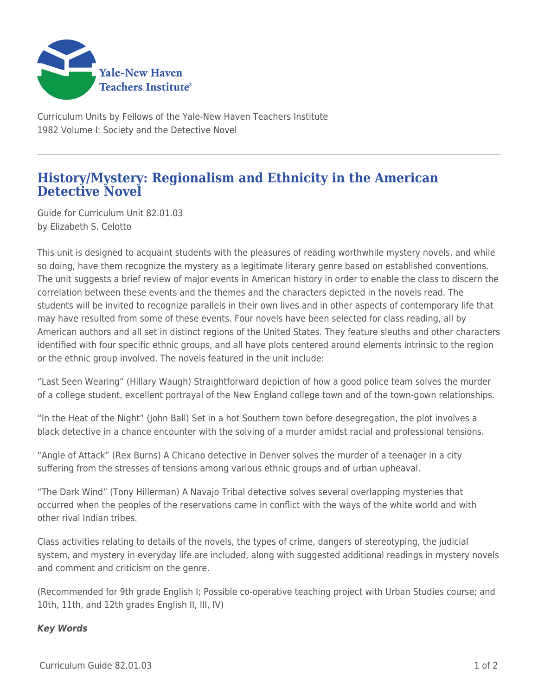

Curriculum Units by Fellows of the Yale-New Haven Teachers Institute 1982 Volume I: Society and the Detective Novel

## **History/Mystery: Regionalism and Ethnicity in the American Detective Novel**

Guide for Curriculum Unit 82.01.03 by Elizabeth S. Celotto

This unit is designed to acquaint students with the pleasures of reading worthwhile mystery novels, and while so doing, have them recognize the mystery as a legitimate literary genre based on established conventions. The unit suggests a brief review of major events in American history in order to enable the class to discern the correlation between these events and the themes and the characters depicted in the novels read. The students will be invited to recognize parallels in their own lives and in other aspects of contemporary life that may have resulted from some of these events. Four novels have been selected for class reading, all by American authors and all set in distinct regions of the United States. They feature sleuths and other characters identified with four specific ethnic groups, and all have plots centered around elements intrinsic to the region or the ethnic group involved. The novels featured in the unit include:

"Last Seen Wearing" (Hillary Waugh) Straightforward depiction of how a good police team solves the murder of a college student, excellent portrayal of the New England college town and of the town-gown relationships.

"In the Heat of the Night" (John Ball) Set in a hot Southern town before desegregation, the plot involves a black detective in a chance encounter with the solving of a murder amidst racial and professional tensions.

"Angle of Attack" (Rex Burns) A Chicano detective in Denver solves the murder of a teenager in a city suffering from the stresses of tensions among various ethnic groups and of urban upheaval.

"The Dark Wind" (Tony Hillerman) A Navajo Tribal detective solves several overlapping mysteries that occurred when the peoples of the reservations came in conflict with the ways of the white world and with other rival Indian tribes.

Class activities relating to details of the novels, the types of crime, dangers of stereotyping, the judicial system, and mystery in everyday life are included, along with suggested additional readings in mystery novels and comment and criticism on the genre.

(Recommended for 9th grade English I; Possible co-operative teaching project with Urban Studies course; and 10th, 11th, and 12th grades English II, III, IV)

## *Key Words*